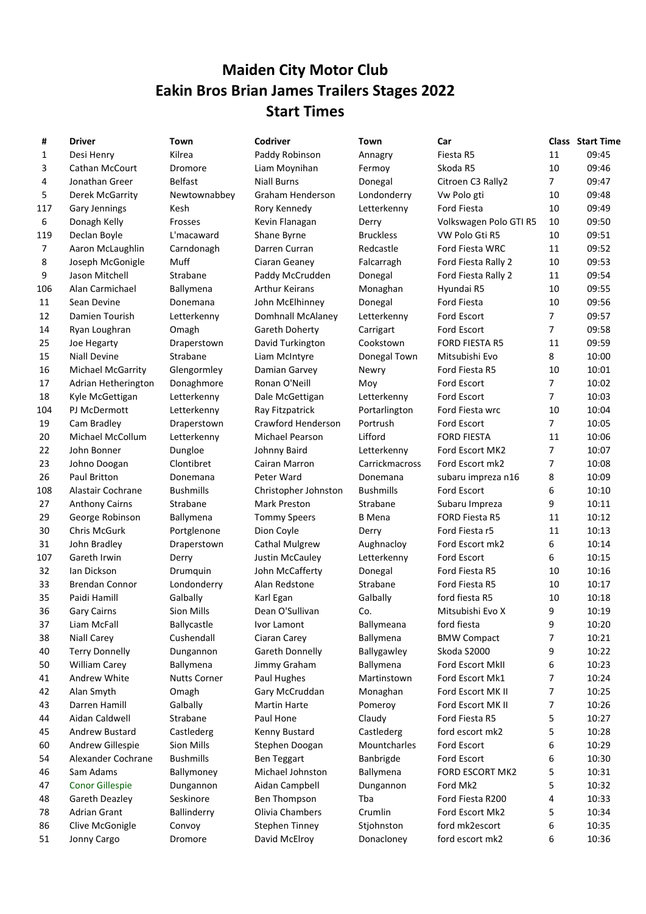## Maiden City Motor Club Eakin Bros Brian James Trailers Stages 2022 Start Times

| #   | <b>Driver</b>            | Town                | Codriver               | Town                       | Car                            |                | <b>Class</b> Start Time |
|-----|--------------------------|---------------------|------------------------|----------------------------|--------------------------------|----------------|-------------------------|
| 1   | Desi Henry               | Kilrea              | Paddy Robinson         | Annagry                    | Fiesta R5                      | 11             | 09:45                   |
| 3   | Cathan McCourt           | Dromore             | Liam Moynihan          | Fermoy                     | Skoda R5                       | 10             | 09:46                   |
| 4   | Jonathan Greer           | <b>Belfast</b>      | <b>Niall Burns</b>     | Donegal                    | Citroen C3 Rally2              | 7              | 09:47                   |
| 5   | Derek McGarrity          | Newtownabbey        | Graham Henderson       | Londonderry                | Vw Polo gti                    | 10             | 09:48                   |
| 117 | <b>Gary Jennings</b>     | Kesh                | Rory Kennedy           | Letterkenny                | Ford Fiesta                    | 10             | 09:49                   |
| 6   | Donagh Kelly             | Frosses             | Kevin Flanagan         | Derry                      | Volkswagen Polo GTI R5         | 10             | 09:50                   |
| 119 | Declan Boyle             | L'macaward          | Shane Byrne            | <b>Bruckless</b>           | VW Polo Gti R5                 | 10             | 09:51                   |
| 7   | Aaron McLaughlin         | Carndonagh          | Darren Curran          | Redcastle                  | Ford Fiesta WRC                | 11             | 09:52                   |
| 8   | Joseph McGonigle         | Muff                | Ciaran Geaney          | Falcarragh                 | Ford Fiesta Rally 2            | 10             | 09:53                   |
| 9   | Jason Mitchell           | Strabane            | Paddy McCrudden        | Donegal                    | Ford Fiesta Rally 2            | 11             | 09:54                   |
| 106 | Alan Carmichael          | Ballymena           | <b>Arthur Keirans</b>  | Monaghan                   | Hyundai R5                     | 10             | 09:55                   |
| 11  | Sean Devine              | Donemana            | John McElhinney        | Donegal                    | Ford Fiesta                    | 10             | 09:56                   |
| 12  | Damien Tourish           | Letterkenny         | Domhnall McAlaney      | Letterkenny                | Ford Escort                    | 7              | 09:57                   |
| 14  | Ryan Loughran            | Omagh               | Gareth Doherty         | Carrigart                  | Ford Escort                    | 7              | 09:58                   |
| 25  | Joe Hegarty              | Draperstown         | David Turkington       | Cookstown                  | <b>FORD FIESTA R5</b>          | 11             | 09:59                   |
| 15  | <b>Niall Devine</b>      | Strabane            | Liam McIntyre          | Donegal Town               | Mitsubishi Evo                 | 8              | 10:00                   |
| 16  | <b>Michael McGarrity</b> | Glengormley         | Damian Garvey          | Newry                      | Ford Fiesta R5                 | 10             | 10:01                   |
| 17  | Adrian Hetherington      | Donaghmore          | Ronan O'Neill          | Moy                        | Ford Escort                    | 7              | 10:02                   |
| 18  | Kyle McGettigan          | Letterkenny         | Dale McGettigan        | Letterkenny                | Ford Escort                    | 7              | 10:03                   |
| 104 | PJ McDermott             | Letterkenny         | Ray Fitzpatrick        | Portarlington              | Ford Fiesta wrc                | 10             | 10:04                   |
| 19  | Cam Bradley              | Draperstown         | Crawford Henderson     | Portrush                   | Ford Escort                    | 7              | 10:05                   |
| 20  | Michael McCollum         | Letterkenny         | Michael Pearson        | Lifford                    | <b>FORD FIESTA</b>             | 11             | 10:06                   |
| 22  | John Bonner              | Dungloe             | Johnny Baird           | Letterkenny                | Ford Escort MK2                | 7              | 10:07                   |
| 23  | Johno Doogan             | Clontibret          | Cairan Marron          | Carrickmacross             | Ford Escort mk2                | $\overline{7}$ | 10:08                   |
| 26  | Paul Britton             | Donemana            | Peter Ward             | Donemana                   | subaru impreza n16             | 8              | 10:09                   |
| 108 | Alastair Cochrane        | <b>Bushmills</b>    | Christopher Johnston   | <b>Bushmills</b>           | Ford Escort                    | 6              | 10:10                   |
| 27  | <b>Anthony Cairns</b>    | Strabane            | <b>Mark Preston</b>    | Strabane                   | Subaru Impreza                 | 9              | 10:11                   |
| 29  | George Robinson          | Ballymena           | <b>Tommy Speers</b>    | <b>B</b> Mena              | <b>FORD Fiesta R5</b>          | 11             | 10:12                   |
| 30  | Chris McGurk             | Portglenone         | Dion Coyle             | Derry                      | Ford Fiesta r5                 | 11             | 10:13                   |
| 31  | John Bradley             | Draperstown         | <b>Cathal Mulgrew</b>  | Aughnacloy                 | Ford Escort mk2                | 6              | 10:14                   |
| 107 | Gareth Irwin             | Derry               | <b>Justin McCauley</b> | Letterkenny                | Ford Escort                    | 6              | 10:15                   |
| 32  | Ian Dickson              | Drumquin            | John McCafferty        | Donegal                    | Ford Fiesta R5                 | 10             | 10:16                   |
| 33  | <b>Brendan Connor</b>    | Londonderry         | Alan Redstone          | Strabane                   | Ford Fiesta R5                 | 10             | 10:17                   |
| 35  | Paidi Hamill             | Galbally            | Karl Egan              | Galbally                   | ford fiesta R5                 | 10             | 10:18                   |
| 36  | <b>Gary Cairns</b>       | Sion Mills          | Dean O'Sullivan        | Co.                        | Mitsubishi Evo X               | 9              | 10:19                   |
| 37  | Liam McFall              | Ballycastle         | Ivor Lamont            | Ballymeana                 | ford fiesta                    | 9              | 10:20                   |
| 38  | <b>Niall Carey</b>       | Cushendall          | Ciaran Carey           | Ballymena                  | <b>BMW Compact</b>             | 7              | 10:21                   |
| 40  | <b>Terry Donnelly</b>    | Dungannon           | Gareth Donnelly        | Ballygawley                | Skoda S2000                    | 9              | 10:22                   |
| 50  | <b>William Carey</b>     | Ballymena           | Jimmy Graham           | Ballymena                  | Ford Escort MkII               | 6              | 10:23                   |
| 41  | Andrew White             | <b>Nutts Corner</b> | Paul Hughes            | Martinstown                | Ford Escort Mk1                | 7              | 10:24                   |
| 42  | Alan Smyth               |                     | Gary McCruddan         | Monaghan                   | Ford Escort MK II              | 7              | 10:25                   |
| 43  | Darren Hamill            | Omagh<br>Galbally   | <b>Martin Harte</b>    | Pomeroy                    | Ford Escort MK II              | 7              | 10:26                   |
|     | Aidan Caldwell           | Strabane            | Paul Hone              |                            |                                |                | 10:27                   |
| 44  | Andrew Bustard           | Castlederg          |                        | Claudy                     | Ford Fiesta R5                 | 5              | 10:28                   |
| 45  |                          | Sion Mills          | Kenny Bustard          | Castlederg<br>Mountcharles | ford escort mk2<br>Ford Escort | 5              | 10:29                   |
| 60  | Andrew Gillespie         |                     | Stephen Doogan         |                            |                                | 6              |                         |
| 54  | Alexander Cochrane       | <b>Bushmills</b>    | <b>Ben Teggart</b>     | Banbrigde                  | Ford Escort                    | 6              | 10:30                   |
| 46  | Sam Adams                | Ballymoney          | Michael Johnston       | Ballymena                  | FORD ESCORT MK2                | 5              | 10:31                   |
| 47  | <b>Conor Gillespie</b>   | Dungannon           | Aidan Campbell         | Dungannon                  | Ford Mk2                       | 5              | 10:32                   |
| 48  | Gareth Deazley           | Seskinore           | Ben Thompson           | Tba                        | Ford Fiesta R200               | 4              | 10:33                   |
| 78  | <b>Adrian Grant</b>      | Ballinderry         | Olivia Chambers        | Crumlin                    | Ford Escort Mk2                | 5              | 10:34                   |
| 86  | Clive McGonigle          | Convoy              | Stephen Tinney         | Stjohnston                 | ford mk2escort                 | 6              | 10:35                   |
| 51  | Jonny Cargo              | <b>Dromore</b>      | David McElrov          | Donaclonev                 | ford escort mk2                | 6              | 10:36                   |

| Ħ   |                        |                     | COUITVEI              |                  | ua.                    | сыаээ          | <b>Juant Thin</b> |
|-----|------------------------|---------------------|-----------------------|------------------|------------------------|----------------|-------------------|
| 1   | Desi Henry             | Kilrea              | Paddy Robinson        | Annagry          | Fiesta R5              | 11             | 09:45             |
| 3   | <b>Cathan McCourt</b>  | Dromore             | Liam Moynihan         | Fermoy           | Skoda R5               | 10             | 09:46             |
| 4   | Jonathan Greer         | <b>Belfast</b>      | <b>Niall Burns</b>    | Donegal          | Citroen C3 Rally2      | $\overline{7}$ | 09:47             |
| 5   | Derek McGarrity        | Newtownabbey        | Graham Henderson      | Londonderry      | Vw Polo gti            | 10             | 09:48             |
| 117 | Gary Jennings          | Kesh                | Rory Kennedy          | Letterkenny      | Ford Fiesta            | 10             | 09:49             |
| 6   | Donagh Kelly           | Frosses             | Kevin Flanagan        | Derry            | Volkswagen Polo GTI R5 | 10             | 09:50             |
| 119 | Declan Boyle           | L'macaward          | Shane Byrne           | <b>Bruckless</b> | VW Polo Gti R5         | 10             | 09:51             |
| 7   | Aaron McLaughlin       | Carndonagh          | Darren Curran         | Redcastle        | Ford Fiesta WRC        | 11             | 09:52             |
| 8   | Joseph McGonigle       | Muff                | Ciaran Geaney         | Falcarragh       | Ford Fiesta Rally 2    | 10             | 09:53             |
| 9   | Jason Mitchell         | Strabane            | Paddy McCrudden       | Donegal          | Ford Fiesta Rally 2    | 11             | 09:54             |
| 106 | Alan Carmichael        | Ballymena           | <b>Arthur Keirans</b> | Monaghan         | Hyundai R5             | 10             | 09:55             |
| 11  | Sean Devine            | Donemana            | John McElhinney       | Donegal          | Ford Fiesta            | 10             | 09:56             |
| 12  | Damien Tourish         | Letterkenny         | Domhnall McAlaney     | Letterkenny      | Ford Escort            | 7              | 09:57             |
| 14  | Ryan Loughran          | Omagh               | Gareth Doherty        | Carrigart        | Ford Escort            | 7              | 09:58             |
| 25  | Joe Hegarty            | Draperstown         | David Turkington      | Cookstown        | <b>FORD FIESTA R5</b>  | 11             | 09:59             |
| 15  | <b>Niall Devine</b>    | Strabane            | Liam McIntyre         | Donegal Town     | Mitsubishi Evo         | 8              | 10:00             |
| 16  | Michael McGarrity      | Glengormley         | Damian Garvey         | Newry            | Ford Fiesta R5         | 10             | 10:01             |
| 17  | Adrian Hetherington    | Donaghmore          | Ronan O'Neill         | Moy              | <b>Ford Escort</b>     | 7              | 10:02             |
| 18  | Kyle McGettigan        | Letterkenny         | Dale McGettigan       | Letterkenny      | Ford Escort            | 7              | 10:03             |
| 104 | PJ McDermott           | Letterkenny         | Ray Fitzpatrick       | Portarlington    | Ford Fiesta wrc        | 10             | 10:04             |
| 19  | Cam Bradley            | Draperstown         | Crawford Henderson    | Portrush         | Ford Escort            | $\overline{7}$ | 10:05             |
| 20  | Michael McCollum       | Letterkenny         | Michael Pearson       | Lifford          | <b>FORD FIESTA</b>     | 11             | 10:06             |
| 22  | John Bonner            | Dungloe             | Johnny Baird          | Letterkenny      | Ford Escort MK2        | 7              | 10:07             |
| 23  | Johno Doogan           | Clontibret          | Cairan Marron         | Carrickmacross   | Ford Escort mk2        | 7              | 10:08             |
| 26  | Paul Britton           | Donemana            | Peter Ward            | Donemana         | subaru impreza n16     | 8              | 10:09             |
| 108 | Alastair Cochrane      | <b>Bushmills</b>    | Christopher Johnston  | <b>Bushmills</b> | Ford Escort            | 6              | 10:10             |
| 27  | <b>Anthony Cairns</b>  | Strabane            | Mark Preston          | Strabane         | Subaru Impreza         | 9              | 10:11             |
| 29  | George Robinson        | Ballymena           | <b>Tommy Speers</b>   | <b>B</b> Mena    | <b>FORD Fiesta R5</b>  | 11             | 10:12             |
| 30  | Chris McGurk           | Portglenone         | Dion Coyle            | Derry            | Ford Fiesta r5         | 11             | 10:13             |
| 31  | John Bradley           | Draperstown         | <b>Cathal Mulgrew</b> | Aughnacloy       | Ford Escort mk2        | 6              | 10:14             |
| 107 | Gareth Irwin           | Derry               | Justin McCauley       | Letterkenny      | Ford Escort            | 6              | 10:15             |
| 32  | Ian Dickson            | Drumquin            | John McCafferty       | Donegal          | Ford Fiesta R5         | 10             | 10:16             |
| 33  | <b>Brendan Connor</b>  | Londonderry         | Alan Redstone         | Strabane         | Ford Fiesta R5         | 10             | 10:17             |
| 35  | Paidi Hamill           | Galbally            | Karl Egan             | Galbally         | ford fiesta R5         | 10             | 10:18             |
| 36  | <b>Gary Cairns</b>     | Sion Mills          | Dean O'Sullivan       | Co.              | Mitsubishi Evo X       | 9              | 10:19             |
| 37  | Liam McFall            | Ballycastle         | Ivor Lamont           | Ballymeana       | ford fiesta            | 9              | 10:20             |
| 38  | <b>Niall Carey</b>     | Cushendall          | Ciaran Carey          | Ballymena        | <b>BMW Compact</b>     | 7              | 10:21             |
| 40  | <b>Terry Donnelly</b>  | Dungannon           | Gareth Donnelly       | Ballygawley      | Skoda S2000            | 9              | 10:22             |
| 50  | William Carey          | Ballymena           | Jimmy Graham          | Ballymena        | Ford Escort MkII       | 6              | 10:23             |
| 41  | Andrew White           | <b>Nutts Corner</b> | Paul Hughes           | Martinstown      | Ford Escort Mk1        | 7              | 10:24             |
| 42  | Alan Smyth             | Omagh               | Gary McCruddan        | Monaghan         | Ford Escort MK II      | 7              | 10:25             |
| 43  | Darren Hamill          | Galbally            | Martin Harte          | Pomeroy          | Ford Escort MK II      | 7              | 10:26             |
| 44  | Aidan Caldwell         | Strabane            | Paul Hone             | Claudy           | Ford Fiesta R5         | 5              | 10:27             |
| 45  | Andrew Bustard         | Castlederg          | Kenny Bustard         | Castlederg       | ford escort mk2        | 5              | 10:28             |
| 60  | Andrew Gillespie       | Sion Mills          | Stephen Doogan        | Mountcharles     | Ford Escort            | 6              | 10:29             |
| 54  | Alexander Cochrane     | <b>Bushmills</b>    | <b>Ben Teggart</b>    | Banbrigde        | Ford Escort            | 6              | 10:30             |
| 46  | Sam Adams              | Ballymoney          | Michael Johnston      | Ballymena        | FORD ESCORT MK2        | 5              | 10:31             |
| 47  | <b>Conor Gillespie</b> | Dungannon           | Aidan Campbell        | Dungannon        | Ford Mk2               | 5              | 10:32             |
| 48  | Gareth Deazley         | Seskinore           | Ben Thompson          | Tba              | Ford Fiesta R200       | 4              | 10:33             |
| 78  | Adrian Grant           | Ballinderry         | Olivia Chambers       | Crumlin          | Ford Escort Mk2        | 5              | 10:34             |
| 86  | Clive McGonigle        | Convoy              | Stephen Tinney        | Stjohnston       | ford mk2escort         | 6              | 10:35             |
| 51  | Jonny Cargo            | Dromore             | David McElroy         | Donacloney       | ford escort mk2        | 6              | 10:36             |
|     |                        |                     |                       |                  |                        |                |                   |